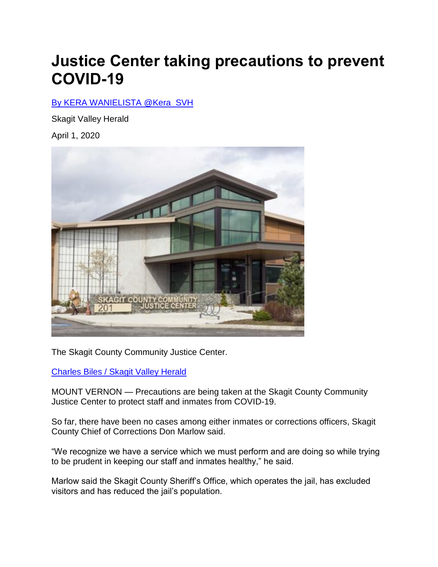## **Justice Center taking precautions to prevent COVID-19**

## [By KERA WANIELISTA @Kera\\_SVH](https://www.goskagit.com/users/profile/kwanielista)

Skagit Valley Herald

April 1, 2020



The Skagit County Community Justice Center.

[Charles Biles / Skagit Valley Herald](https://www.goskagit.com/users/profile/CharlesBiles)

MOUNT VERNON — Precautions are being taken at the Skagit County Community Justice Center to protect staff and inmates from COVID-19.

So far, there have been no cases among either inmates or corrections officers, Skagit County Chief of Corrections Don Marlow said.

"We recognize we have a service which we must perform and are doing so while trying to be prudent in keeping our staff and inmates healthy," he said.

Marlow said the Skagit County Sheriff's Office, which operates the jail, has excluded visitors and has reduced the jail's population.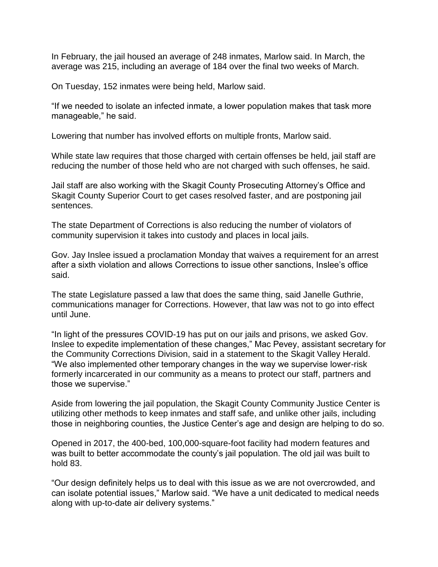In February, the jail housed an average of 248 inmates, Marlow said. In March, the average was 215, including an average of 184 over the final two weeks of March.

On Tuesday, 152 inmates were being held, Marlow said.

"If we needed to isolate an infected inmate, a lower population makes that task more manageable," he said.

Lowering that number has involved efforts on multiple fronts, Marlow said.

While state law requires that those charged with certain offenses be held, jail staff are reducing the number of those held who are not charged with such offenses, he said.

Jail staff are also working with the Skagit County Prosecuting Attorney's Office and Skagit County Superior Court to get cases resolved faster, and are postponing jail sentences.

The state Department of Corrections is also reducing the number of violators of community supervision it takes into custody and places in local jails.

Gov. Jay Inslee issued a proclamation Monday that waives a requirement for an arrest after a sixth violation and allows Corrections to issue other sanctions, Inslee's office said.

The state Legislature passed a law that does the same thing, said Janelle Guthrie, communications manager for Corrections. However, that law was not to go into effect until June.

"In light of the pressures COVID-19 has put on our jails and prisons, we asked Gov. Inslee to expedite implementation of these changes," Mac Pevey, assistant secretary for the Community Corrections Division, said in a statement to the Skagit Valley Herald. "We also implemented other temporary changes in the way we supervise lower-risk formerly incarcerated in our community as a means to protect our staff, partners and those we supervise."

Aside from lowering the jail population, the Skagit County Community Justice Center is utilizing other methods to keep inmates and staff safe, and unlike other jails, including those in neighboring counties, the Justice Center's age and design are helping to do so.

Opened in 2017, the 400-bed, 100,000-square-foot facility had modern features and was built to better accommodate the county's jail population. The old jail was built to hold 83.

"Our design definitely helps us to deal with this issue as we are not overcrowded, and can isolate potential issues," Marlow said. "We have a unit dedicated to medical needs along with up-to-date air delivery systems."